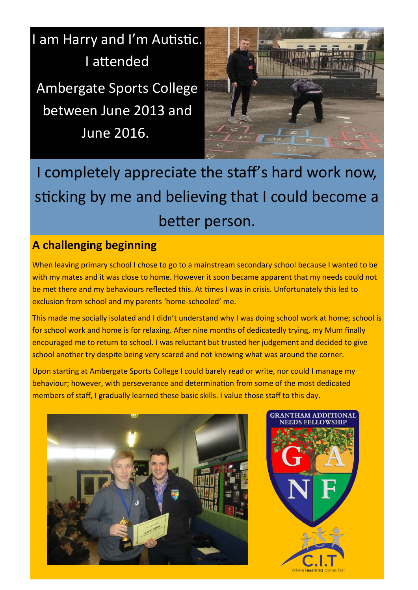I am Harry and I'm Autistic. I attended

Ambergate Sports College between June 2013 and June 2016.



I completely appreciate the staff's hard work now, sticking by me and believing that I could become a better person.

## **A challenging beginning**

When leaving primary school I chose to go to a mainstream secondary school because I wanted to be with my mates and it was close to home. However it soon became apparent that my needs could not be met there and my behaviours reflected this. At times I was in crisis. Unfortunately this led to exclusion from school and my parents 'home-schooled' me.

This made me socially isolated and I didn't understand why I was doing school work at home; school is for school work and home is for relaxing. After nine months of dedicatedly trying, my Mum finally encouraged me to return to school. I was reluctant but trusted her judgement and decided to give school another try despite being very scared and not knowing what was around the corner.

Upon starting at Ambergate Sports College I could barely read or write, nor could I manage my behaviour; however, with perseverance and determination from some of the most dedicated members of staff, I gradually learned these basic skills. I value those staff to this day.